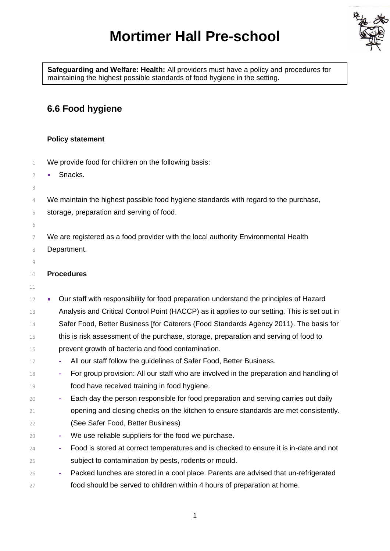## **Mortimer Hall Pre-school**



**Safeguarding and Welfare: Health:** All providers must have a policy and procedures for maintaining the highest possible standards of food hygiene in the setting.

## **6.6 Food hygiene**

## **Policy statement**

- We provide food for children on the following basis:
- **Blacks.**
- 4 We maintain the highest possible food hygiene standards with regard to the purchase,
- storage, preparation and serving of food.
- We are registered as a food provider with the local authority Environmental Health Department.
- 

## **Procedures**

- Our staff with responsibility for food preparation understand the principles of Hazard Analysis and Critical Control Point (HACCP) as it applies to our setting. This is set out in 14 Safer Food, Better Business [for Caterers (Food Standards Agency 2011). The basis for this is risk assessment of the purchase, storage, preparation and serving of food to prevent growth of bacteria and food contamination.
- **-** All our staff follow the guidelines of Safer Food, Better Business.
- **-** For group provision: All our staff who are involved in the preparation and handling of food have received training in food hygiene.
- **-** Each day the person responsible for food preparation and serving carries out daily opening and closing checks on the kitchen to ensure standards are met consistently.
- (See Safer Food, Better Business)
- **-** We use reliable suppliers for the food we purchase.
- **-** Food is stored at correct temperatures and is checked to ensure it is in-date and not subject to contamination by pests, rodents or mould.
- **-** Packed lunches are stored in a cool place. Parents are advised that un-refrigerated food should be served to children within 4 hours of preparation at home.